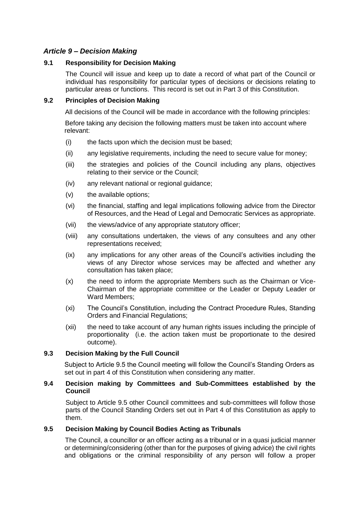# *Article 9 – Decision Making*

### **9.1 Responsibility for Decision Making**

The Council will issue and keep up to date a record of what part of the Council or individual has responsibility for particular types of decisions or decisions relating to particular areas or functions. This record is set out in Part 3 of this Constitution.

### **9.2 Principles of Decision Making**

All decisions of the Council will be made in accordance with the following principles:

Before taking any decision the following matters must be taken into account where relevant:

- (i) the facts upon which the decision must be based;
- (ii) any legislative requirements, including the need to secure value for money;
- (iii) the strategies and policies of the Council including any plans, objectives relating to their service or the Council;
- (iv) any relevant national or regional guidance;
- (v) the available options;
- (vi) the financial, staffing and legal implications following advice from the Director of Resources, and the Head of Legal and Democratic Services as appropriate.
- (vii) the views/advice of any appropriate statutory officer;
- (viii) any consultations undertaken, the views of any consultees and any other representations received;
- (ix) any implications for any other areas of the Council's activities including the views of any Director whose services may be affected and whether any consultation has taken place;
- (x) the need to inform the appropriate Members such as the Chairman or Vice-Chairman of the appropriate committee or the Leader or Deputy Leader or Ward Members;
- (xi) The Council's Constitution, including the Contract Procedure Rules, Standing Orders and Financial Regulations;
- (xii) the need to take account of any human rights issues including the principle of proportionality (i.e. the action taken must be proportionate to the desired outcome).

## **9.3 Decision Making by the Full Council**

Subject to Article 9.5 the Council meeting will follow the Council's Standing Orders as set out in part 4 of this Constitution when considering any matter.

### **9.4 Decision making by Committees and Sub-Committees established by the Council**

Subject to Article 9.5 other Council committees and sub-committees will follow those parts of the Council Standing Orders set out in Part 4 of this Constitution as apply to them.

## **9.5 Decision Making by Council Bodies Acting as Tribunals**

The Council, a councillor or an officer acting as a tribunal or in a quasi judicial manner or determining/considering (other than for the purposes of giving advice) the civil rights and obligations or the criminal responsibility of any person will follow a proper